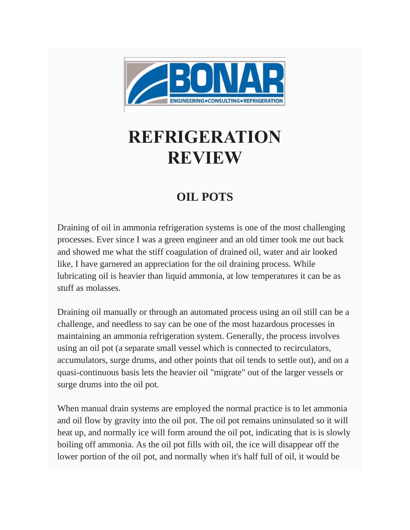

## **REFRIGERATION REVIEW**

## **OIL POTS**

Draining of oil in ammonia refrigeration systems is one of the most challenging processes. Ever since I was a green engineer and an old timer took me out back and showed me what the stiff coagulation of drained oil, water and air looked like, I have garnered an appreciation for the oil draining process. While lubricating oil is heavier than liquid ammonia, at low temperatures it can be as stuff as molasses.

Draining oil manually or through an automated process using an oil still can be a challenge, and needless to say can be one of the most hazardous processes in maintaining an ammonia refrigeration system. Generally, the process involves using an oil pot (a separate small vessel which is connected to recirculators, accumulators, surge drums, and other points that oil tends to settle out), and on a quasi-continuous basis lets the heavier oil "migrate" out of the larger vessels or surge drums into the oil pot.

When manual drain systems are employed the normal practice is to let ammonia and oil flow by gravity into the oil pot. The oil pot remains uninsulated so it will heat up, and normally ice will form around the oil pot, indicating that is is slowly boiling off ammonia. As the oil pot fills with oil, the ice will disappear off the lower portion of the oil pot, and normally when it's half full of oil, it would be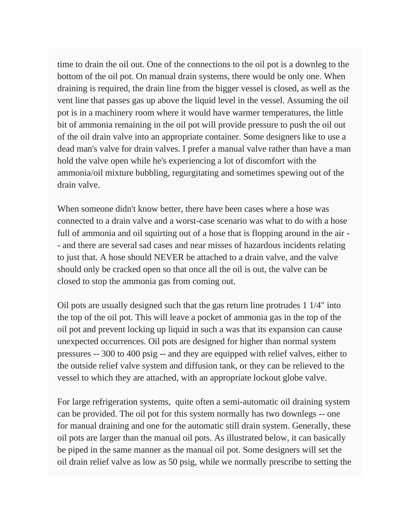time to drain the oil out. One of the connections to the oil pot is a downleg to the bottom of the oil pot. On manual drain systems, there would be only one. When draining is required, the drain line from the bigger vessel is closed, as well as the vent line that passes gas up above the liquid level in the vessel. Assuming the oil pot is in a machinery room where it would have warmer temperatures, the little bit of ammonia remaining in the oil pot will provide pressure to push the oil out of the oil drain valve into an appropriate container. Some designers like to use a dead man's valve for drain valves. I prefer a manual valve rather than have a man hold the valve open while he's experiencing a lot of discomfort with the ammonia/oil mixture bubbling, regurgitating and sometimes spewing out of the drain valve.

When someone didn't know better, there have been cases where a hose was connected to a drain valve and a worst-case scenario was what to do with a hose full of ammonia and oil squirting out of a hose that is flopping around in the air - - and there are several sad cases and near misses of hazardous incidents relating to just that. A hose should NEVER be attached to a drain valve, and the valve should only be cracked open so that once all the oil is out, the valve can be closed to stop the ammonia gas from coming out.

Oil pots are usually designed such that the gas return line protrudes 1 1/4" into the top of the oil pot. This will leave a pocket of ammonia gas in the top of the oil pot and prevent locking up liquid in such a was that its expansion can cause unexpected occurrences. Oil pots are designed for higher than normal system pressures -- 300 to 400 psig -- and they are equipped with relief valves, either to the outside relief valve system and diffusion tank, or they can be relieved to the vessel to which they are attached, with an appropriate lockout globe valve.

For large refrigeration systems, quite often a semi-automatic oil draining system can be provided. The oil pot for this system normally has two downlegs -- one for manual draining and one for the automatic still drain system. Generally, these oil pots are larger than the manual oil pots. As illustrated below, it can basically be piped in the same manner as the manual oil pot. Some designers will set the oil drain relief valve as low as 50 psig, while we normally prescribe to setting the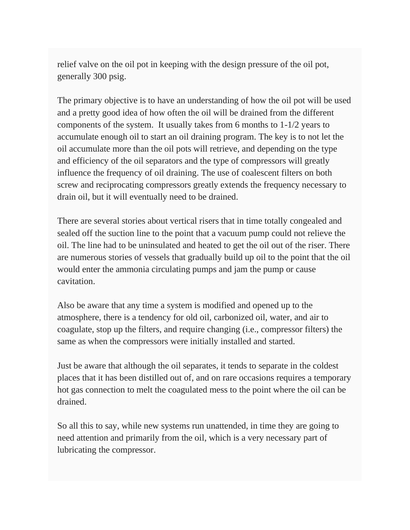relief valve on the oil pot in keeping with the design pressure of the oil pot, generally 300 psig.

The primary objective is to have an understanding of how the oil pot will be used and a pretty good idea of how often the oil will be drained from the different components of the system. It usually takes from 6 months to 1-1/2 years to accumulate enough oil to start an oil draining program. The key is to not let the oil accumulate more than the oil pots will retrieve, and depending on the type and efficiency of the oil separators and the type of compressors will greatly influence the frequency of oil draining. The use of coalescent filters on both screw and reciprocating compressors greatly extends the frequency necessary to drain oil, but it will eventually need to be drained.

There are several stories about vertical risers that in time totally congealed and sealed off the suction line to the point that a vacuum pump could not relieve the oil. The line had to be uninsulated and heated to get the oil out of the riser. There are numerous stories of vessels that gradually build up oil to the point that the oil would enter the ammonia circulating pumps and jam the pump or cause cavitation.

Also be aware that any time a system is modified and opened up to the atmosphere, there is a tendency for old oil, carbonized oil, water, and air to coagulate, stop up the filters, and require changing (i.e., compressor filters) the same as when the compressors were initially installed and started.

Just be aware that although the oil separates, it tends to separate in the coldest places that it has been distilled out of, and on rare occasions requires a temporary hot gas connection to melt the coagulated mess to the point where the oil can be drained.

So all this to say, while new systems run unattended, in time they are going to need attention and primarily from the oil, which is a very necessary part of lubricating the compressor.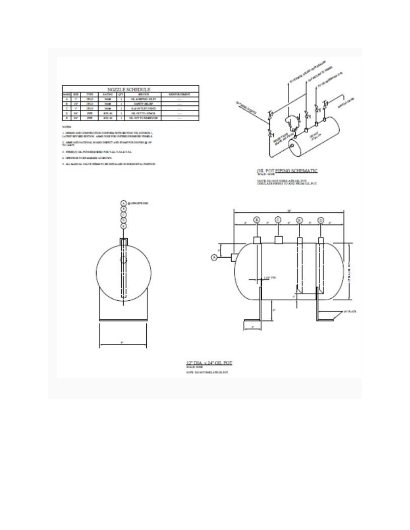| <b>SCHET</b><br>π<br>т<br>NW |  |   |  |  |   |  |  |  |  |
|------------------------------|--|---|--|--|---|--|--|--|--|
|                              |  |   |  |  |   |  |  |  |  |
|                              |  |   |  |  |   |  |  |  |  |
|                              |  | u |  |  |   |  |  |  |  |
|                              |  |   |  |  | × |  |  |  |  |
|                              |  |   |  |  |   |  |  |  |  |
|                              |  |   |  |  |   |  |  |  |  |

xotia

 $\lambda$  -distants and consequently these constrains with approached the exhausting (  $\lambda$  from any sign sections) and color from the transmitted values.

 $\frac{1}{2}$  , adapt and institional boards contact and attachment converse  $\frac{1}{2}$  , are the entry.

A THREST OF POSSIBILITY OF V.S. VIA A V.N.

 $\epsilon$  -denotes the search at solver.

 $\Lambda$  ALL MARTAL VALVE STRAUTS BE INSTALLED IN WORKLOCKS, FORTICH.



OIL POT PIPING SCHEMATIC NOTE DONOT BUILLATE OF FOT. 1977





12" DIA x 24" OIL POT NOTE-DOMOTORREATEDRADE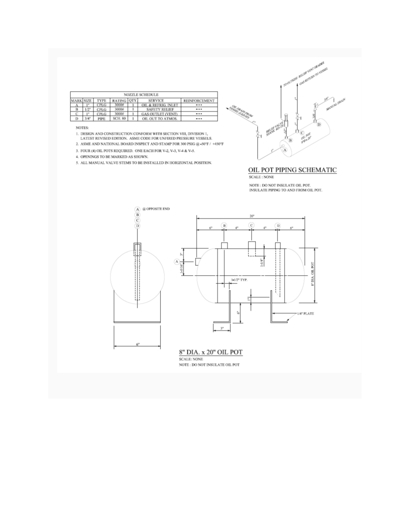| <b>NOZZLE SCHEDULE</b> |           |             |                    |  |                          |                      |  |  |  |
|------------------------|-----------|-------------|--------------------|--|--------------------------|----------------------|--|--|--|
| <b>MARK SIZE</b>       |           | TYPE        | <b>RATING QTY.</b> |  | <b>SERVICE</b>           | <b>REINFORCEMENT</b> |  |  |  |
|                        |           | <b>CPLG</b> |                    |  | OIL & REFRIG. INLET      | ---                  |  |  |  |
| B                      | $1/2^{n}$ | <b>CPLG</b> | 4000*              |  | <b>SAFETY RELIEF</b>     | ---                  |  |  |  |
| с                      |           | <b>CPLG</b> |                    |  | <b>GAS OUTLET (VENT)</b> | ---                  |  |  |  |
| D                      | $1/4$ "   | <b>PIPE</b> | <b>SCH. 80</b>     |  | OIL OUT TO ATMOS.        | ---                  |  |  |  |

NOTES:

1. DESIGN AND CONSTRUCTION CONFORM WITH SECTION VIII, DIVISION 1, LATEST REVISED EDITION.  $\,$  ASME CODE FOR UNFIRED PRESSURE VESSELS.

- 2. ASME AND NATIONAL BOARD INSPECT AND STAMP FOR 300 PSIG @ -50°F / +450°F
- 3. FOUR (4) OIL POTS REQUIRED. ONE EACH FOR V-2, V-3, V-4 & V-5.

4. OPENINGS TO BE MARKED AS SHOWN.

5. ALL MANUAL VALVE STEMS TO BE INSTALLED IN HORIZONTAL POSITION.



OIL POT PIPING SCHEMATIC

**SCALE: NONE** 

NOTE : DO NOT INSULATE OIL POT.<br>INSULATE PIPING TO AND FROM OIL POT.

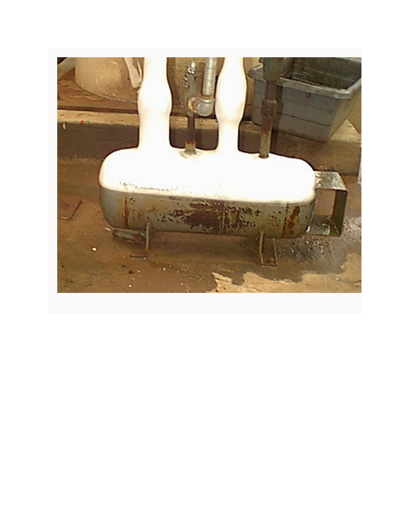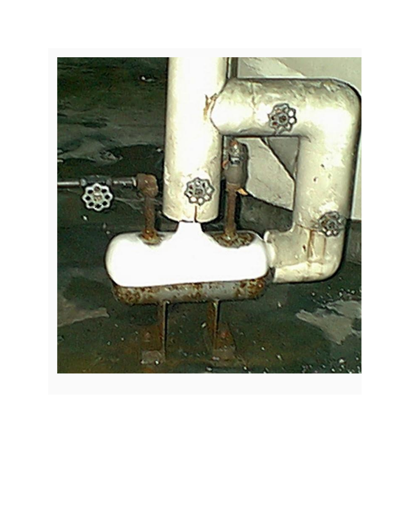